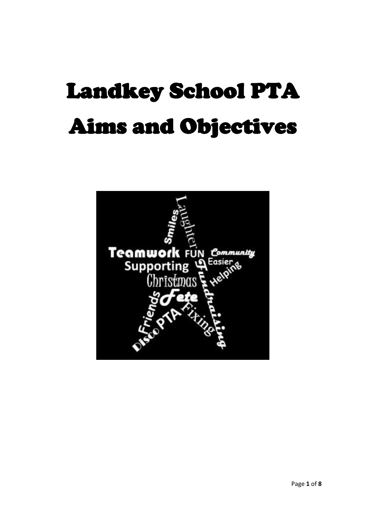# Landkey School PTA Aims and Objectives

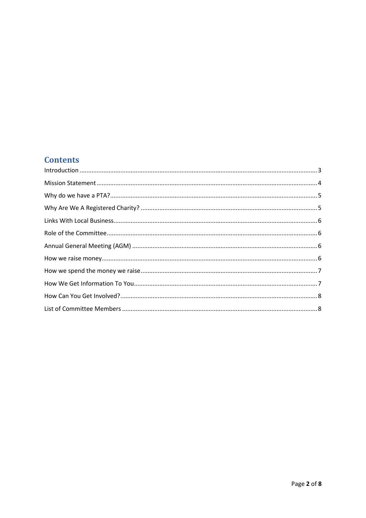# **Contents**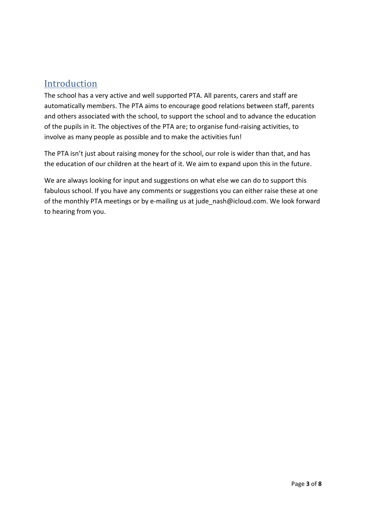# <span id="page-2-0"></span>**Introduction**

The school has a very active and well supported PTA. All parents, carers and staff are automatically members. The PTA aims to encourage good relations between staff, parents and others associated with the school, to support the school and to advance the education of the pupils in it. The objectives of the PTA are; to organise fund-raising activities, to involve as many people as possible and to make the activities fun!

The PTA isn't just about raising money for the school, our role is wider than that, and has the education of our children at the heart of it. We aim to expand upon this in the future.

We are always looking for input and suggestions on what else we can do to support this fabulous school. If you have any comments or suggestions you can either raise these at one of the monthly PTA meetings or by e-mailing us at jude nash@icloud.com. We look forward to hearing from you.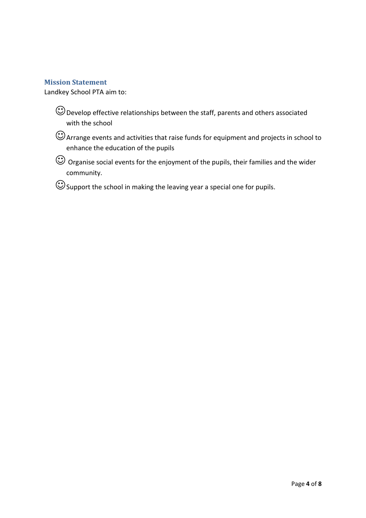#### <span id="page-3-0"></span>**Mission Statement**

Landkey School PTA aim to:

 $\bigodot$  Develop effective relationships between the staff, parents and others associated with the school

Arrange events and activities that raise funds for equipment and projects in school to enhance the education of the pupils

 $\bigodot$  Organise social events for the enjoyment of the pupils, their families and the wider community.

Support the school in making the leaving year a special one for pupils.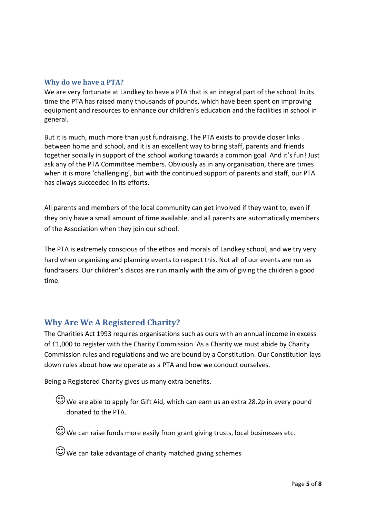#### <span id="page-4-0"></span>**Why do we have a PTA?**

We are very fortunate at Landkey to have a PTA that is an integral part of the school. In its time the PTA has raised many thousands of pounds, which have been spent on improving equipment and resources to enhance our children's education and the facilities in school in general.

But it is much, much more than just fundraising. The PTA exists to provide closer links between home and school, and it is an excellent way to bring staff, parents and friends together socially in support of the school working towards a common goal. And it's fun! Just ask any of the PTA Committee members. Obviously as in any organisation, there are times when it is more 'challenging', but with the continued support of parents and staff, our PTA has always succeeded in its efforts.

All parents and members of the local community can get involved if they want to, even if they only have a small amount of time available, and all parents are automatically members of the Association when they join our school.

The PTA is extremely conscious of the ethos and morals of Landkey school, and we try very hard when organising and planning events to respect this. Not all of our events are run as fundraisers. Our children's discos are run mainly with the aim of giving the children a good time.

### <span id="page-4-1"></span>**Why Are We A Registered Charity?**

The Charities Act 1993 requires organisations such as ours with an annual income in excess of £1,000 to register with the Charity Commission. As a Charity we must abide by Charity Commission rules and regulations and we are bound by a Constitution. Our Constitution lays down rules about how we operate as a PTA and how we conduct ourselves.

Being a Registered Charity gives us many extra benefits.

We are able to apply for Gift Aid, which can earn us an extra 28.2p in every pound donated to the PTA.

 $\odot$  We can raise funds more easily from grant giving trusts, local businesses etc.

 $\bigodot$  We can take advantage of charity matched giving schemes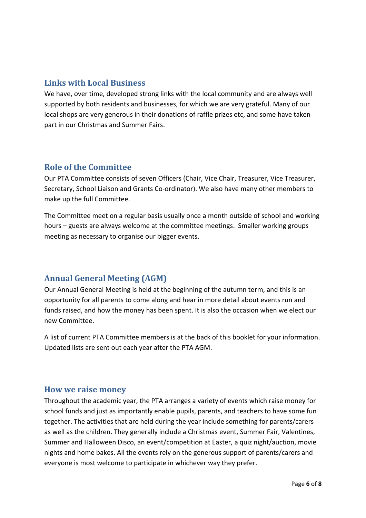## <span id="page-5-0"></span>**Links with Local Business**

We have, over time, developed strong links with the local community and are always well supported by both residents and businesses, for which we are very grateful. Many of our local shops are very generous in their donations of raffle prizes etc, and some have taken part in our Christmas and Summer Fairs.

## <span id="page-5-1"></span>**Role of the Committee**

Our PTA Committee consists of seven Officers (Chair, Vice Chair, Treasurer, Vice Treasurer, Secretary, School Liaison and Grants Co-ordinator). We also have many other members to make up the full Committee.

The Committee meet on a regular basis usually once a month outside of school and working hours – guests are always welcome at the committee meetings. Smaller working groups meeting as necessary to organise our bigger events.

## <span id="page-5-2"></span>**Annual General Meeting (AGM)**

Our Annual General Meeting is held at the beginning of the autumn term, and this is an opportunity for all parents to come along and hear in more detail about events run and funds raised, and how the money has been spent. It is also the occasion when we elect our new Committee.

A list of current PTA Committee members is at the back of this booklet for your information. Updated lists are sent out each year after the PTA AGM.

## <span id="page-5-3"></span>**How we raise money**

Throughout the academic year, the PTA arranges a variety of events which raise money for school funds and just as importantly enable pupils, parents, and teachers to have some fun together. The activities that are held during the year include something for parents/carers as well as the children. They generally include a Christmas event, Summer Fair, Valentines, Summer and Halloween Disco, an event/competition at Easter, a quiz night/auction, movie nights and home bakes. All the events rely on the generous support of parents/carers and everyone is most welcome to participate in whichever way they prefer.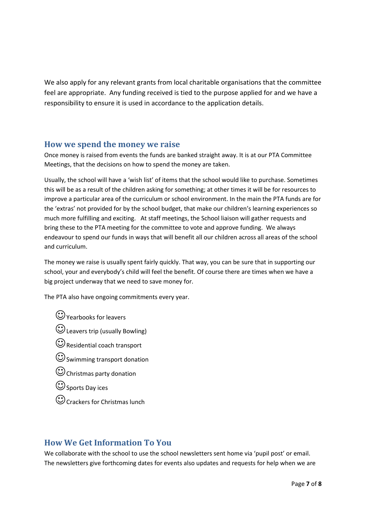We also apply for any relevant grants from local charitable organisations that the committee feel are appropriate. Any funding received is tied to the purpose applied for and we have a responsibility to ensure it is used in accordance to the application details.

#### <span id="page-6-0"></span>**How we spend the money we raise**

Once money is raised from events the funds are banked straight away. It is at our PTA Committee Meetings, that the decisions on how to spend the money are taken.

Usually, the school will have a 'wish list' of items that the school would like to purchase. Sometimes this will be as a result of the children asking for something; at other times it will be for resources to improve a particular area of the curriculum or school environment. In the main the PTA funds are for the 'extras' not provided for by the school budget, that make our children's learning experiences so much more fulfilling and exciting. At staff meetings, the School liaison will gather requests and bring these to the PTA meeting for the committee to vote and approve funding. We always endeavour to spend our funds in ways that will benefit all our children across all areas of the school and curriculum.

The money we raise is usually spent fairly quickly. That way, you can be sure that in supporting our school, your and everybody's child will feel the benefit. Of course there are times when we have a big project underway that we need to save money for.

The PTA also have ongoing commitments every year.

 $\bigcirc$  Yearbooks for leavers Leavers trip (usually Bowling)  $\bigodot$  Residential coach transport  $\odot$  Swimming transport donation Christmas party donation  $\bigcirc$  Sports Day ices Crackers for Christmas lunch

### <span id="page-6-1"></span>**How We Get Information To You**

We collaborate with the school to use the school newsletters sent home via 'pupil post' or email. The newsletters give forthcoming dates for events also updates and requests for help when we are